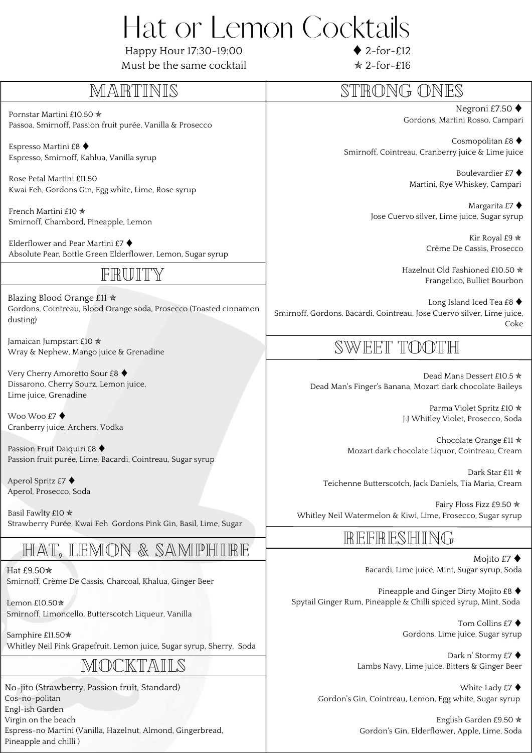## Hat or Lemon Cocktails

Happy Hour 17:30-19:00

 $\triangle$  2-for-£12

| Must be the same cocktail                                                                                                        | $\angle 2$ -for-£16                                                                                       |
|----------------------------------------------------------------------------------------------------------------------------------|-----------------------------------------------------------------------------------------------------------|
| MARTINIS                                                                                                                         | STRONG ONES                                                                                               |
| Pornstar Martini £10.50 *                                                                                                        | Negroni £7.50 $\blacklozenge$                                                                             |
| Passoa, Smirnoff, Passion fruit purée, Vanilla & Prosecco                                                                        | Gordons, Martini Rosso, Campari                                                                           |
| Espresso Martini £8 ♦                                                                                                            | Cosmopolitan £8 $\blacklozenge$                                                                           |
| Espresso, Smirnoff, Kahlua, Vanilla syrup                                                                                        | Smirnoff, Cointreau, Cranberry juice & Lime juice                                                         |
| Rose Petal Martini £11.50                                                                                                        | Boulevardier £7 ♦                                                                                         |
| Kwai Feh, Gordons Gin, Egg white, Lime, Rose syrup                                                                               | Martini, Rye Whiskey, Campari                                                                             |
| French Martini £10 *                                                                                                             | Margarita £7 $\blacklozenge$                                                                              |
| Smirnoff, Chambord, Pineapple, Lemon                                                                                             | Jose Cuervo silver, Lime juice, Sugar syrup                                                               |
| Elderflower and Pear Martini £7 $\blacklozenge$                                                                                  | Kir Royal £9 *                                                                                            |
| Absolute Pear, Bottle Green Elderflower, Lemon, Sugar syrup                                                                      | Crème De Cassis, Prosecco                                                                                 |
| FRWITY                                                                                                                           | Hazelnut Old Fashioned £10.50 *<br>Frangelico, Bulliet Bourbon                                            |
| Blazing Blood Orange £11 *                                                                                                       | Long Island Iced Tea £8 ♦                                                                                 |
| Gordons, Cointreau, Blood Orange soda, Prosecco (Toasted cinnamon                                                                | Smirnoff, Gordons, Bacardi, Cointreau, Jose Cuervo silver, Lime juice,                                    |
| dusting)                                                                                                                         | Coke                                                                                                      |
| Jamaican Jumpstart £10 *<br>Wray & Nephew, Mango juice & Grenadine                                                               | SWEET TOOTH                                                                                               |
| Very Cherry Amoretto Sour £8 ♦<br>Dissarono, Cherry Sourz, Lemon juice,<br>Lime juice, Grenadine                                 | Dead Mans Dessert £10.5 *<br>Dead Man's Finger's Banana, Mozart dark chocolate Baileys                    |
| Woo Woo £7 ♦                                                                                                                     | Parma Violet Spritz £10 *                                                                                 |
| Cranberry juice, Archers, Vodka                                                                                                  | J.J Whitley Violet, Prosecco, Soda                                                                        |
| Passion Fruit Daiquiri £8 ♦                                                                                                      | Chocolate Orange £11 *                                                                                    |
| Passion fruit purée, Lime, Bacardi, Cointreau, Sugar syrup                                                                       | Mozart dark chocolate Liquor, Cointreau, Cream                                                            |
| Aperol Spritz £7 ♦                                                                                                               | Dark Star £11 *                                                                                           |
| Aperol, Prosecco, Soda                                                                                                           | Teichenne Butterscotch, Jack Daniels, Tia Maria, Cream                                                    |
| Basil Fawlty £10 *                                                                                                               | Fairy Floss Fizz £9.50 *                                                                                  |
| Strawberry Purée, Kwai Feh Gordons Pink Gin, Basil, Lime, Sugar                                                                  | Whitley Neil Watermelon & Kiwi, Lime, Prosecco, Sugar syrup                                               |
| HAT, LEMON & SAMPHIRE                                                                                                            | REFRESHING                                                                                                |
| Hat £9.50 <del>*</del>                                                                                                           | Mojito £7 $\blacklozenge$<br>Bacardi, Lime juice, Mint, Sugar syrup, Soda                                 |
| Smirnoff, Crème De Cassis, Charcoal, Khalua, Ginger Beer<br>Lemon £10.50*<br>Smirnoff, Limoncello, Butterscotch Liqueur, Vanilla | Pineapple and Ginger Dirty Mojito £8 ♦<br>Spytail Ginger Rum, Pineapple & Chilli spiced syrup, Mint, Soda |
| Samphire £11.50 *                                                                                                                | Tom Collins £7 ♦<br>Gordons, Lime juice, Sugar syrup                                                      |
| Whitley Neil Pink Grapefruit, Lemon juice, Sugar syrup, Sherry, Soda                                                             | Dark n' Stormy £7 ♦                                                                                       |
| MOCKTAILS                                                                                                                        | Lambs Navy, Lime juice, Bitters & Ginger Beer                                                             |
| No-jito (Strawberry, Passion fruit, Standard)                                                                                    | White Lady £7 $\blacklozenge$                                                                             |
| Cos-no-politan                                                                                                                   | Gordon's Gin, Cointreau, Lemon, Egg white, Sugar syrup                                                    |
| Engl-ish Garden<br>Virgin on the beach                                                                                           | English Garden £9.50 *                                                                                    |

Espress-no Martini (Vanilla, Hazelnut, Almond, Gingerbread, Pineapple and chilli )

English Garden £9.50 [✯](https://coolsymbol.com/copy/Pinwheel_Star_Symbol_%E2%9C%AF) Gordon's Gin, Elderflower, Apple, Lime, Soda